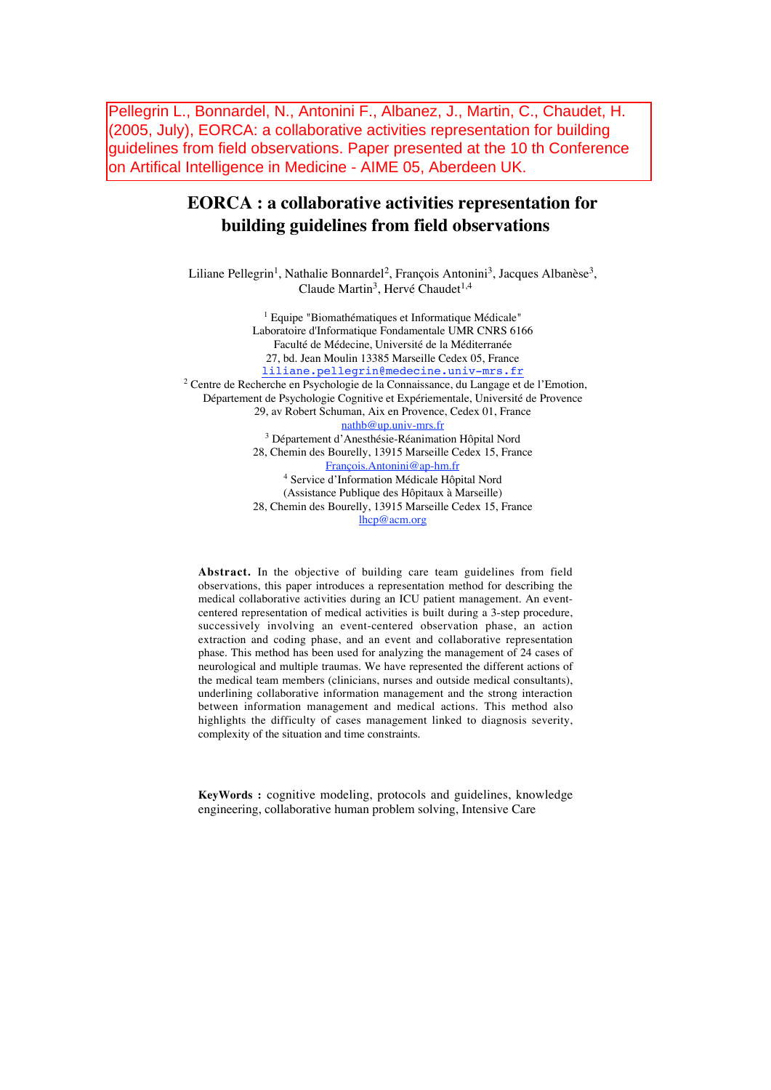Pellegrin L., Bonnardel, N., Antonini F., Albanez, J., Martin, C., Chaudet, H. (2005, July), EORCA: a collaborative activities representation for building guidelines from field observations. Paper presented at the 10 th Conference on Artifical Intelligence in Medicine - AIME 05, Aberdeen UK.

# **EORCA : a collaborative activities representation for building guidelines from field observations**

Liliane Pellegrin<sup>1</sup>, Nathalie Bonnardel<sup>2</sup>, François Antonini<sup>3</sup>, Jacques Albanèse<sup>3</sup>, Claude Martin<sup>3</sup>, Hervé Chaudet<sup>1,4</sup>

<sup>1</sup> Equipe "Biomathématiques et Informatique Médicale" Laboratoire d'Informatique Fondamentale UMR CNRS 6166 Faculté de Médecine, Université de la Méditerranée 27, bd. Jean Moulin 13385 Marseille Cedex 05, France liliane.pellegrin@medecine.univ-mrs.fr 2 Centre de Recherche en Psychologie de la Connaissance, du Langage et de l'Emotion, Département de Psychologie Cognitive et Expériementale, Université de Provence 29, av Robert Schuman, Aix en Provence, Cedex 01, France nathb@up.univ-mrs.fr 3 Département d'Anesthésie-Réanimation Hôpital Nord 28, Chemin des Bourelly, 13915 Marseille Cedex 15, France François.Antonini@ap-hm.fr 4 Service d'Information Médicale Hôpital Nord (Assistance Publique des Hôpitaux à Marseille) 28, Chemin des Bourelly, 13915 Marseille Cedex 15, France

lhcp@acm.org

**Abstract.** In the objective of building care team guidelines from field observations, this paper introduces a representation method for describing the medical collaborative activities during an ICU patient management. An eventcentered representation of medical activities is built during a 3-step procedure, successively involving an event-centered observation phase, an action extraction and coding phase, and an event and collaborative representation phase. This method has been used for analyzing the management of 24 cases of neurological and multiple traumas. We have represented the different actions of the medical team members (clinicians, nurses and outside medical consultants), underlining collaborative information management and the strong interaction between information management and medical actions. This method also highlights the difficulty of cases management linked to diagnosis severity, complexity of the situation and time constraints.

**KeyWords :** cognitive modeling, protocols and guidelines, knowledge engineering, collaborative human problem solving, Intensive Care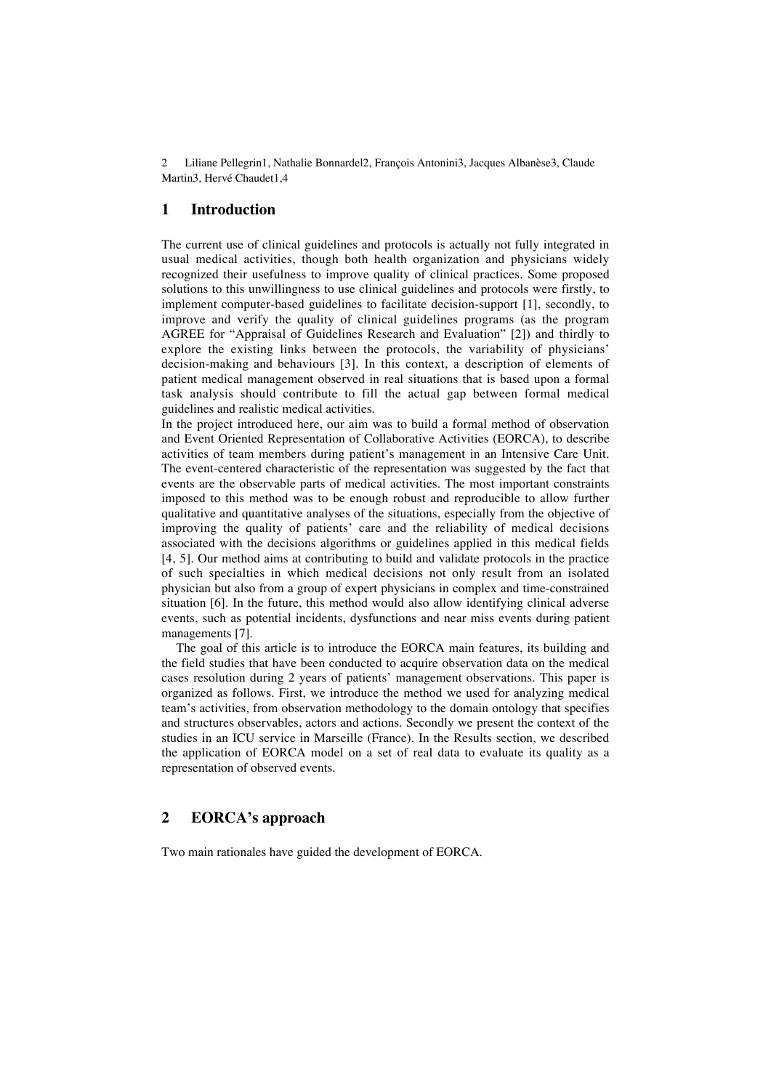2 Liliane Pellegrin1, Nathalie Bonnardel2, François Antonini3, Jacques Albanèse3, Claude Martin3, Hervé Chaudet1,4

### **1 Introduction**

The current use of clinical guidelines and protocols is actually not fully integrated in usual medical activities, though both health organization and physicians widely recognized their usefulness to improve quality of clinical practices. Some proposed solutions to this unwillingness to use clinical guidelines and protocols were firstly, to implement computer-based guidelines to facilitate decision-support [1], secondly, to improve and verify the quality of clinical guidelines programs (as the program AGREE for "Appraisal of Guidelines Research and Evaluation" [2]) and thirdly to explore the existing links between the protocols, the variability of physicians' decision-making and behaviours [3]. In this context, a description of elements of patient medical management observed in real situations that is based upon a formal task analysis should contribute to fill the actual gap between formal medical guidelines and realistic medical activities.

In the project introduced here, our aim was to build a formal method of observation and Event Oriented Representation of Collaborative Activities (EORCA), to describe activities of team members during patient's management in an Intensive Care Unit. The event-centered characteristic of the representation was suggested by the fact that events are the observable parts of medical activities. The most important constraints imposed to this method was to be enough robust and reproducible to allow further qualitative and quantitative analyses of the situations, especially from the objective of improving the quality of patients' care and the reliability of medical decisions associated with the decisions algorithms or guidelines applied in this medical fields [4, 5]. Our method aims at contributing to build and validate protocols in the practice of such specialties in which medical decisions not only result from an isolated physician but also from a group of expert physicians in complex and time-constrained situation [6]. In the future, this method would also allow identifying clinical adverse events, such as potential incidents, dysfunctions and near miss events during patient managements [7].

The goal of this article is to introduce the EORCA main features, its building and the field studies that have been conducted to acquire observation data on the medical cases resolution during 2 years of patients' management observations. This paper is organized as follows. First, we introduce the method we used for analyzing medical team's activities, from observation methodology to the domain ontology that specifies and structures observables, actors and actions. Secondly we present the context of the studies in an ICU service in Marseille (France). In the Results section, we described the application of EORCA model on a set of real data to evaluate its quality as a representation of observed events.

# **2 EORCA's approach**

Two main rationales have guided the development of EORCA.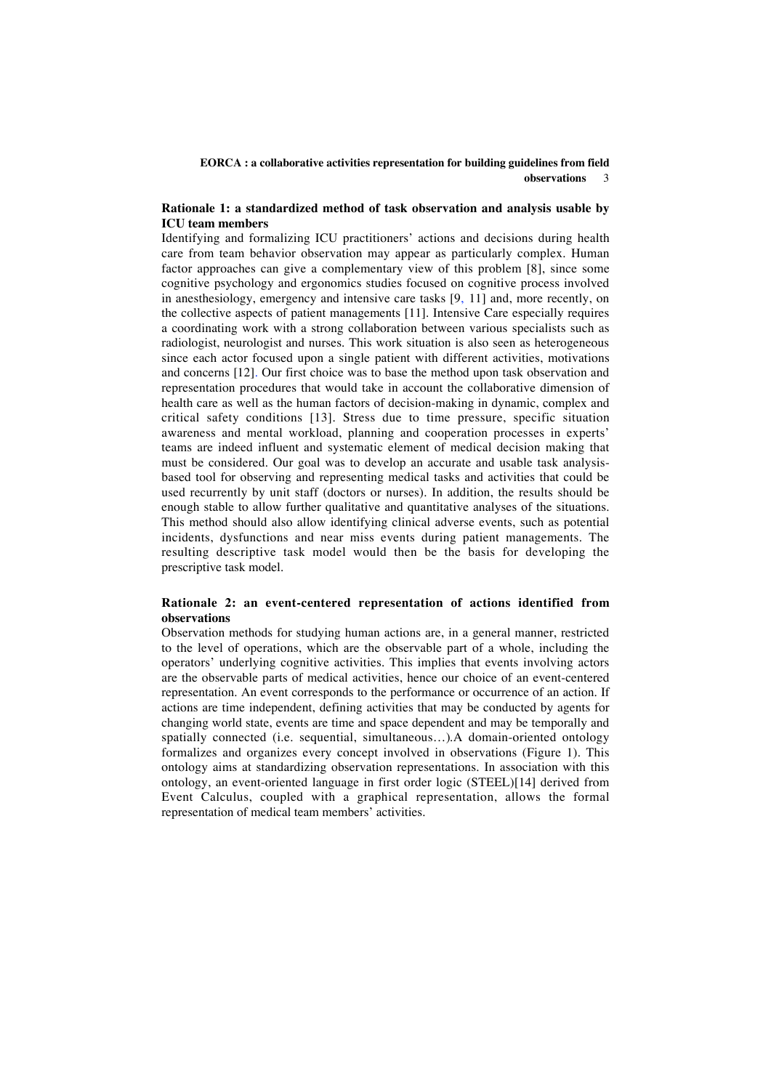**EORCA : a collaborative activities representation for building guidelines from field**  $observals$ 

### **Rationale 1: a standardized method of task observation and analysis usable by ICU team members**

Identifying and formalizing ICU practitioners' actions and decisions during health care from team behavior observation may appear as particularly complex. Human factor approaches can give a complementary view of this problem [8], since some cognitive psychology and ergonomics studies focused on cognitive process involved in anesthesiology, emergency and intensive care tasks [9, 11] and, more recently, on the collective aspects of patient managements [11]. Intensive Care especially requires a coordinating work with a strong collaboration between various specialists such as radiologist, neurologist and nurses. This work situation is also seen as heterogeneous since each actor focused upon a single patient with different activities, motivations and concerns [12]. Our first choice was to base the method upon task observation and representation procedures that would take in account the collaborative dimension of health care as well as the human factors of decision-making in dynamic, complex and critical safety conditions [13]. Stress due to time pressure, specific situation awareness and mental workload, planning and cooperation processes in experts' teams are indeed influent and systematic element of medical decision making that must be considered. Our goal was to develop an accurate and usable task analysisbased tool for observing and representing medical tasks and activities that could be used recurrently by unit staff (doctors or nurses). In addition, the results should be enough stable to allow further qualitative and quantitative analyses of the situations. This method should also allow identifying clinical adverse events, such as potential incidents, dysfunctions and near miss events during patient managements. The resulting descriptive task model would then be the basis for developing the prescriptive task model.

### **Rationale 2: an event-centered representation of actions identified from observations**

Observation methods for studying human actions are, in a general manner, restricted to the level of operations, which are the observable part of a whole, including the operators' underlying cognitive activities. This implies that events involving actors are the observable parts of medical activities, hence our choice of an event-centered representation. An event corresponds to the performance or occurrence of an action. If actions are time independent, defining activities that may be conducted by agents for changing world state, events are time and space dependent and may be temporally and spatially connected (i.e. sequential, simultaneous…).A domain-oriented ontology formalizes and organizes every concept involved in observations (Figure 1). This ontology aims at standardizing observation representations. In association with this ontology, an event-oriented language in first order logic (STEEL)[14] derived from Event Calculus, coupled with a graphical representation, allows the formal representation of medical team members' activities.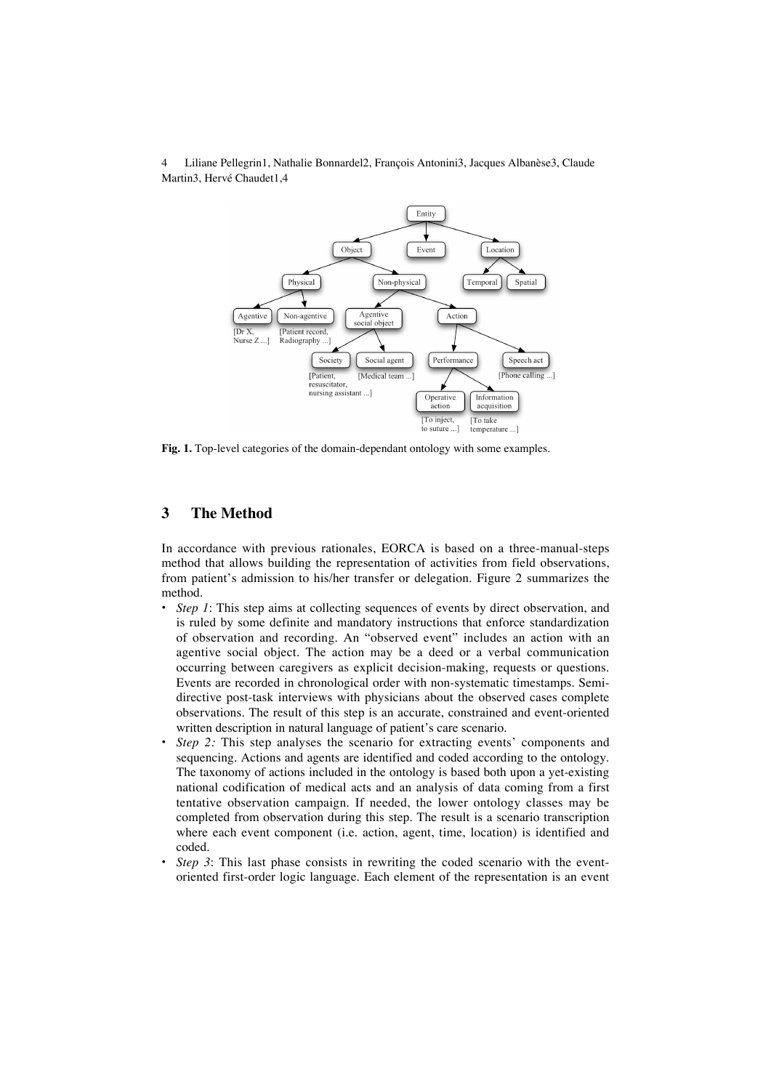

4 Liliane Pellegrin1, Nathalie Bonnardel2, François Antonini3, Jacques Albanèse3, Claude Martin3, Hervé Chaudet1,4

**Fig. 1.** Top-level categories of the domain-dependant ontology with some examples.

### **3 The Method**

In accordance with previous rationales, EORCA is based on a three-manual-steps method that allows building the representation of activities from field observations, from patient's admission to his/her transfer or delegation. Figure 2 summarizes the method.

- *Step 1*: This step aims at collecting sequences of events by direct observation, and is ruled by some definite and mandatory instructions that enforce standardization of observation and recording. An "observed event" includes an action with an agentive social object. The action may be a deed or a verbal communication occurring between caregivers as explicit decision-making, requests or questions. Events are recorded in chronological order with non-systematic timestamps. Semidirective post-task interviews with physicians about the observed cases complete observations. The result of this step is an accurate, constrained and event-oriented written description in natural language of patient's care scenario.
- *Step 2:* This step analyses the scenario for extracting events' components and sequencing. Actions and agents are identified and coded according to the ontology. The taxonomy of actions included in the ontology is based both upon a yet-existing national codification of medical acts and an analysis of data coming from a first tentative observation campaign. If needed, the lower ontology classes may be completed from observation during this step. The result is a scenario transcription where each event component (i.e. action, agent, time, location) is identified and coded.
- *Step 3*: This last phase consists in rewriting the coded scenario with the eventoriented first-order logic language. Each element of the representation is an event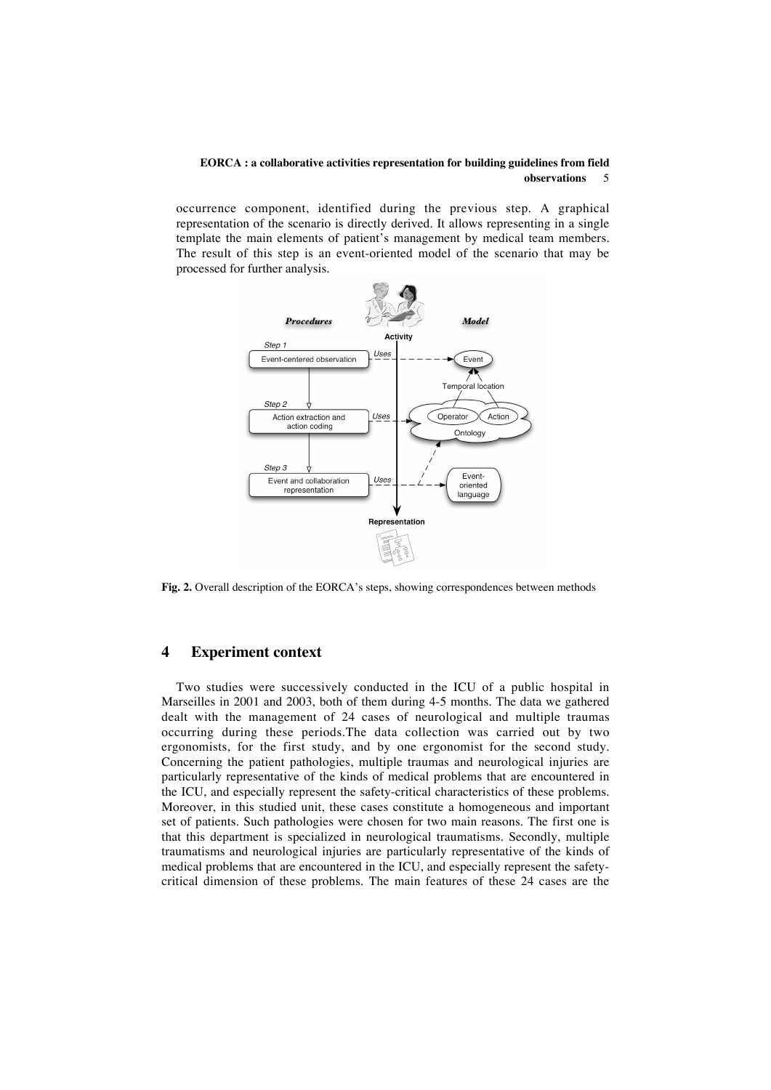### **EORCA : a collaborative activities representation for building guidelines from field observations** 5

occurrence component, identified during the previous step. A graphical representation of the scenario is directly derived. It allows representing in a single template the main elements of patient's management by medical team members. The result of this step is an event-oriented model of the scenario that may be processed for further analysis.



**Fig. 2.** Overall description of the EORCA's steps, showing correspondences between methods

### **4 Experiment context**

Two studies were successively conducted in the ICU of a public hospital in Marseilles in 2001 and 2003, both of them during 4-5 months. The data we gathered dealt with the management of 24 cases of neurological and multiple traumas occurring during these periods.The data collection was carried out by two ergonomists, for the first study, and by one ergonomist for the second study. Concerning the patient pathologies, multiple traumas and neurological injuries are particularly representative of the kinds of medical problems that are encountered in the ICU, and especially represent the safety-critical characteristics of these problems. Moreover, in this studied unit, these cases constitute a homogeneous and important set of patients. Such pathologies were chosen for two main reasons. The first one is that this department is specialized in neurological traumatisms. Secondly, multiple traumatisms and neurological injuries are particularly representative of the kinds of medical problems that are encountered in the ICU, and especially represent the safetycritical dimension of these problems. The main features of these 24 cases are the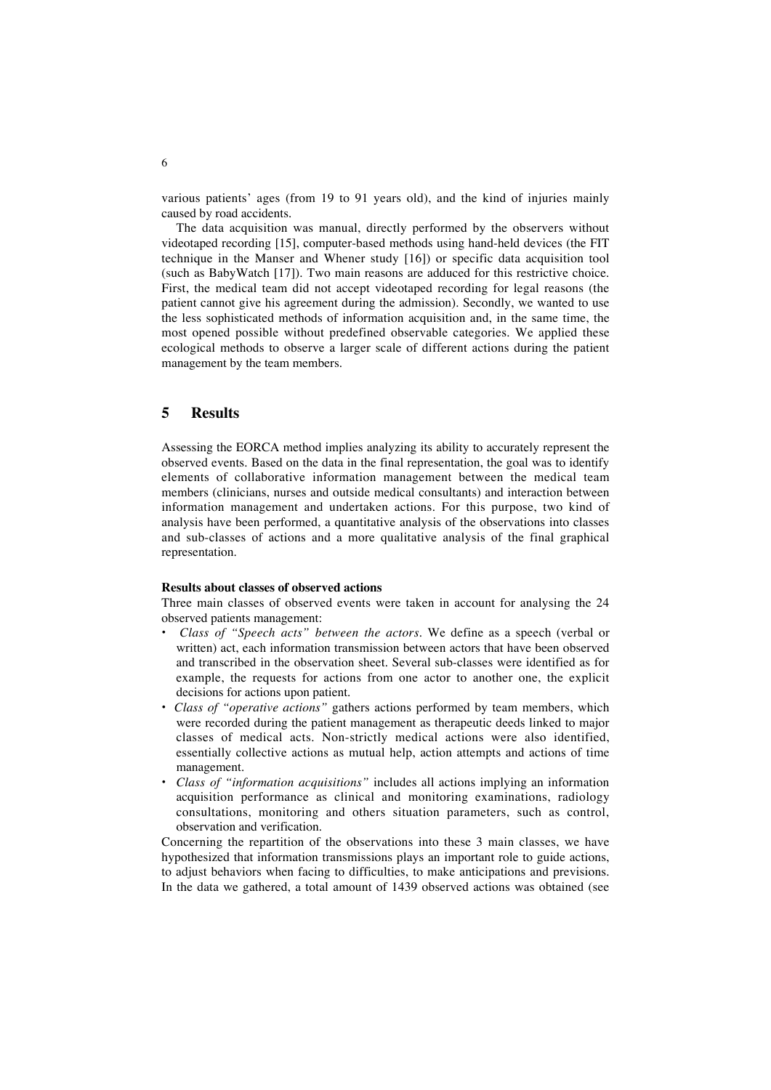various patients' ages (from 19 to 91 years old), and the kind of injuries mainly caused by road accidents.

The data acquisition was manual, directly performed by the observers without videotaped recording [15], computer-based methods using hand-held devices (the FIT technique in the Manser and Whener study [16]) or specific data acquisition tool (such as BabyWatch [17]). Two main reasons are adduced for this restrictive choice. First, the medical team did not accept videotaped recording for legal reasons (the patient cannot give his agreement during the admission). Secondly, we wanted to use the less sophisticated methods of information acquisition and, in the same time, the most opened possible without predefined observable categories. We applied these ecological methods to observe a larger scale of different actions during the patient management by the team members.

## **5 Results**

Assessing the EORCA method implies analyzing its ability to accurately represent the observed events. Based on the data in the final representation, the goal was to identify elements of collaborative information management between the medical team members (clinicians, nurses and outside medical consultants) and interaction between information management and undertaken actions. For this purpose, two kind of analysis have been performed, a quantitative analysis of the observations into classes and sub-classes of actions and a more qualitative analysis of the final graphical representation.

#### **Results about classes of observed actions**

Three main classes of observed events were taken in account for analysing the 24 observed patients management:

- *Class of "Speech acts" between the actors*. We define as a speech (verbal or written) act, each information transmission between actors that have been observed and transcribed in the observation sheet. Several sub-classes were identified as for example, the requests for actions from one actor to another one, the explicit decisions for actions upon patient.
- *Class of "operative actions"* gathers actions performed by team members, which were recorded during the patient management as therapeutic deeds linked to major classes of medical acts. Non-strictly medical actions were also identified, essentially collective actions as mutual help, action attempts and actions of time management.
- *Class of "information acquisitions"* includes all actions implying an information acquisition performance as clinical and monitoring examinations, radiology consultations, monitoring and others situation parameters, such as control, observation and verification.

Concerning the repartition of the observations into these 3 main classes, we have hypothesized that information transmissions plays an important role to guide actions, to adjust behaviors when facing to difficulties, to make anticipations and previsions. In the data we gathered, a total amount of 1439 observed actions was obtained (see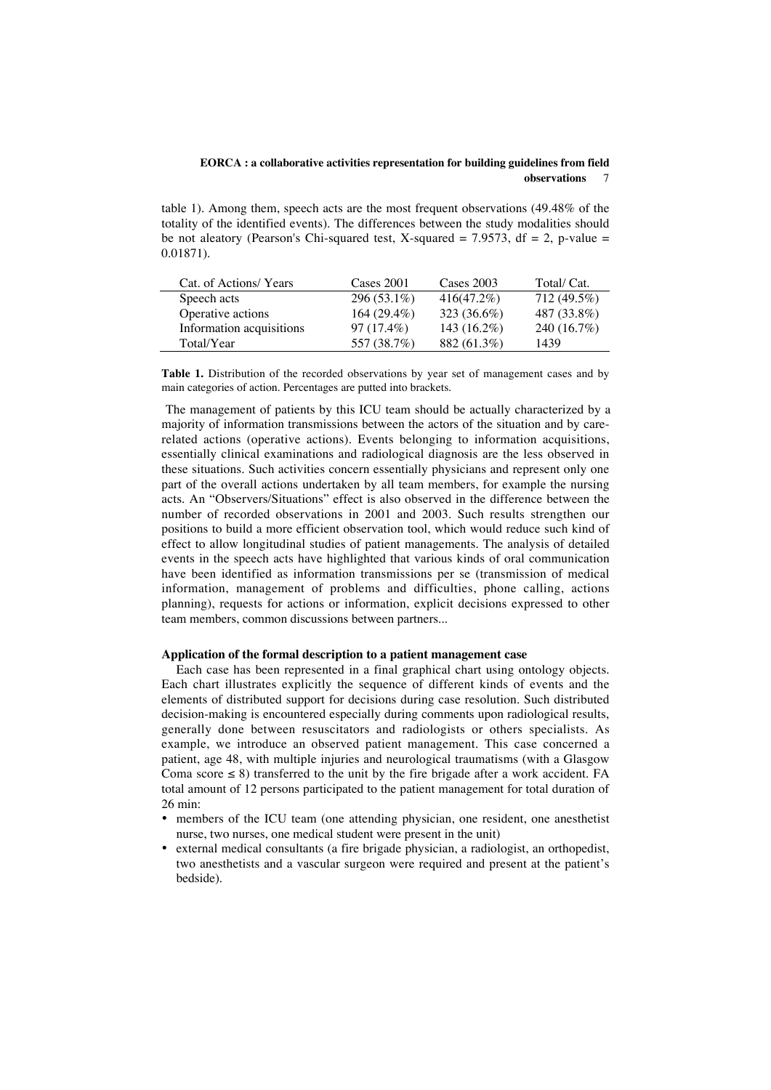#### **EORCA : a collaborative activities representation for building guidelines from field**  $obs$ ervations

table 1). Among them, speech acts are the most frequent observations (49.48% of the totality of the identified events). The differences between the study modalities should be not aleatory (Pearson's Chi-squared test, X-squared = 7.9573, df = 2, p-value = 0.01871).

| Cat. of Actions/Years    | Cases 2001    | Cases 2003     | Total/ Cat.   |
|--------------------------|---------------|----------------|---------------|
| Speech acts              | $296(53.1\%)$ | 416(47.2%)     | 712 (49.5%)   |
| Operative actions        | $164(29.4\%)$ | $323(36.6\%)$  | 487 (33.8%)   |
| Information acquisitions | 97 (17.4%)    | 143 $(16.2\%)$ | $240(16.7\%)$ |
| Total/Year               | 557 (38.7%)   | 882 (61.3%)    | 1439          |

**Table 1.** Distribution of the recorded observations by year set of management cases and by main categories of action. Percentages are putted into brackets.

The management of patients by this ICU team should be actually characterized by a majority of information transmissions between the actors of the situation and by carerelated actions (operative actions). Events belonging to information acquisitions, essentially clinical examinations and radiological diagnosis are the less observed in these situations. Such activities concern essentially physicians and represent only one part of the overall actions undertaken by all team members, for example the nursing acts. An "Observers/Situations" effect is also observed in the difference between the number of recorded observations in 2001 and 2003. Such results strengthen our positions to build a more efficient observation tool, which would reduce such kind of effect to allow longitudinal studies of patient managements. The analysis of detailed events in the speech acts have highlighted that various kinds of oral communication have been identified as information transmissions per se (transmission of medical information, management of problems and difficulties, phone calling, actions planning), requests for actions or information, explicit decisions expressed to other team members, common discussions between partners...

#### **Application of the formal description to a patient management case**

Each case has been represented in a final graphical chart using ontology objects. Each chart illustrates explicitly the sequence of different kinds of events and the elements of distributed support for decisions during case resolution. Such distributed decision-making is encountered especially during comments upon radiological results, generally done between resuscitators and radiologists or others specialists. As example, we introduce an observed patient management. This case concerned a patient, age 48, with multiple injuries and neurological traumatisms (with a Glasgow Coma score  $\leq 8$ ) transferred to the unit by the fire brigade after a work accident. FA total amount of 12 persons participated to the patient management for total duration of 26 min:

- members of the ICU team (one attending physician, one resident, one anesthetist nurse, two nurses, one medical student were present in the unit)
- external medical consultants (a fire brigade physician, a radiologist, an orthopedist, two anesthetists and a vascular surgeon were required and present at the patient's bedside).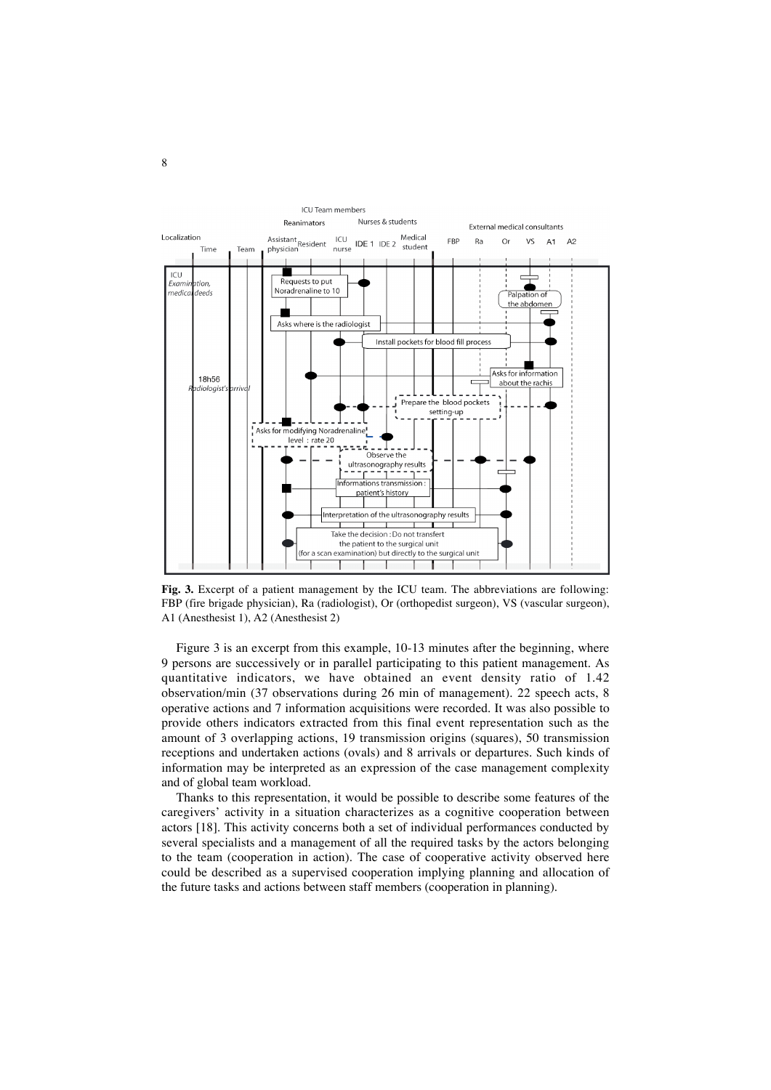

**Fig. 3.** Excerpt of a patient management by the ICU team. The abbreviations are following: FBP (fire brigade physician), Ra (radiologist), Or (orthopedist surgeon), VS (vascular surgeon), A1 (Anesthesist 1), A2 (Anesthesist 2)

Figure 3 is an excerpt from this example, 10-13 minutes after the beginning, where 9 persons are successively or in parallel participating to this patient management. As quantitative indicators, we have obtained an event density ratio of 1.42 observation/min (37 observations during 26 min of management). 22 speech acts, 8 operative actions and 7 information acquisitions were recorded. It was also possible to provide others indicators extracted from this final event representation such as the amount of 3 overlapping actions, 19 transmission origins (squares), 50 transmission receptions and undertaken actions (ovals) and 8 arrivals or departures. Such kinds of information may be interpreted as an expression of the case management complexity and of global team workload.

Thanks to this representation, it would be possible to describe some features of the caregivers' activity in a situation characterizes as a cognitive cooperation between actors [18]. This activity concerns both a set of individual performances conducted by several specialists and a management of all the required tasks by the actors belonging to the team (cooperation in action). The case of cooperative activity observed here could be described as a supervised cooperation implying planning and allocation of the future tasks and actions between staff members (cooperation in planning).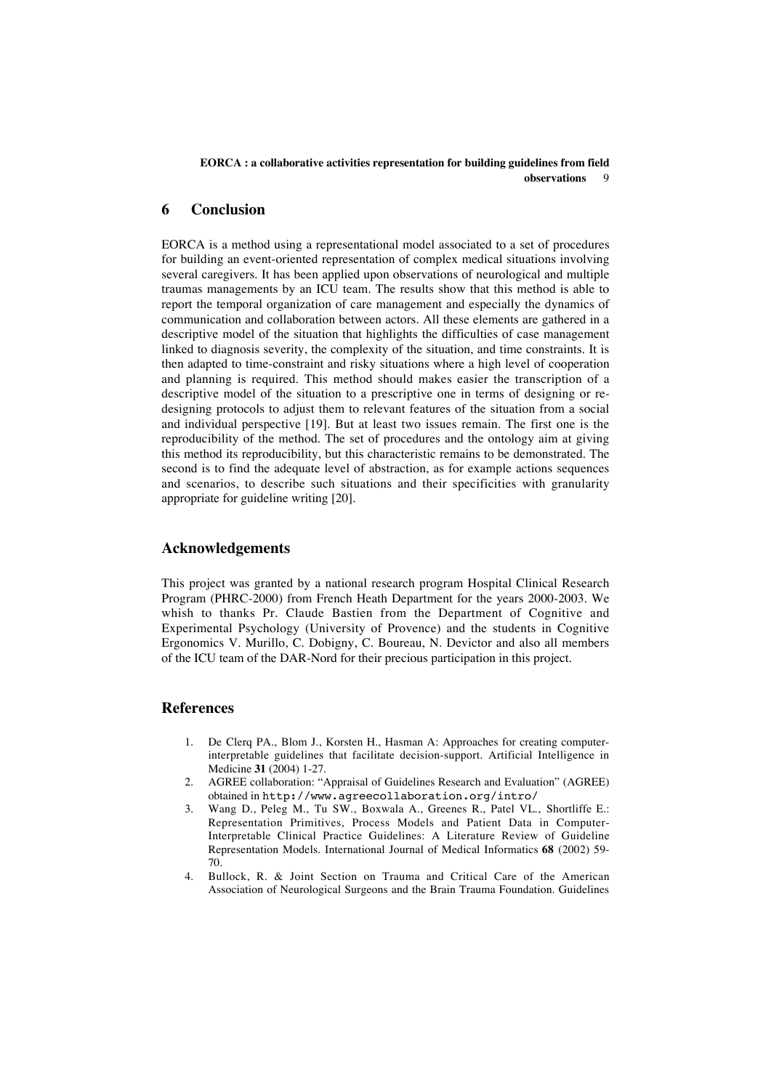**EORCA : a collaborative activities representation for building guidelines from field**  $obs$ **ervations** 

### **6 Conclusion**

EORCA is a method using a representational model associated to a set of procedures for building an event-oriented representation of complex medical situations involving several caregivers. It has been applied upon observations of neurological and multiple traumas managements by an ICU team. The results show that this method is able to report the temporal organization of care management and especially the dynamics of communication and collaboration between actors. All these elements are gathered in a descriptive model of the situation that highlights the difficulties of case management linked to diagnosis severity, the complexity of the situation, and time constraints. It is then adapted to time-constraint and risky situations where a high level of cooperation and planning is required. This method should makes easier the transcription of a descriptive model of the situation to a prescriptive one in terms of designing or redesigning protocols to adjust them to relevant features of the situation from a social and individual perspective [19]. But at least two issues remain. The first one is the reproducibility of the method. The set of procedures and the ontology aim at giving this method its reproducibility, but this characteristic remains to be demonstrated. The second is to find the adequate level of abstraction, as for example actions sequences and scenarios, to describe such situations and their specificities with granularity appropriate for guideline writing [20].

### **Acknowledgements**

This project was granted by a national research program Hospital Clinical Research Program (PHRC-2000) from French Heath Department for the years 2000-2003. We whish to thanks Pr. Claude Bastien from the Department of Cognitive and Experimental Psychology (University of Provence) and the students in Cognitive Ergonomics V. Murillo, C. Dobigny, C. Boureau, N. Devictor and also all members of the ICU team of the DAR-Nord for their precious participation in this project.

### **References**

- 1. De Clerq PA., Blom J., Korsten H., Hasman A: Approaches for creating computerinterpretable guidelines that facilitate decision-support. Artificial Intelligence in Medicine **31** (2004) 1-27.
- 2. AGREE collaboration: "Appraisal of Guidelines Research and Evaluation" (AGREE) obtained in http://www.agreecollaboration.org/intro/
- 3. Wang D., Peleg M., Tu SW., Boxwala A., Greenes R., Patel VL., Shortliffe E.: Representation Primitives, Process Models and Patient Data in Computer-Interpretable Clinical Practice Guidelines: A Literature Review of Guideline Representation Models. International Journal of Medical Informatics **68** (2002) 59- 70.
- 4. Bullock, R. & Joint Section on Trauma and Critical Care of the American Association of Neurological Surgeons and the Brain Trauma Foundation. Guidelines